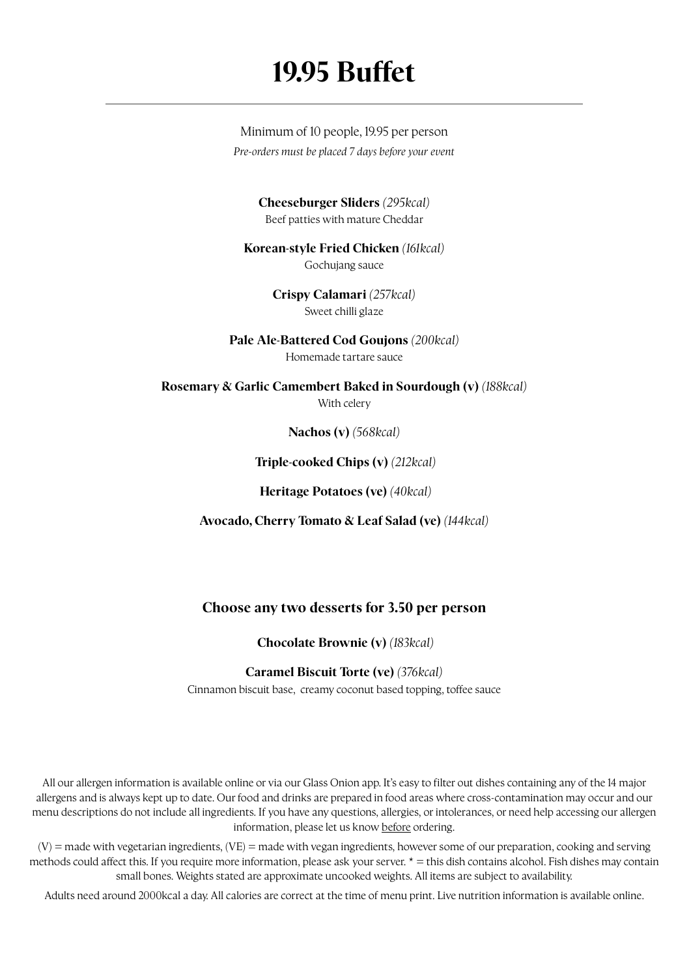## **19.95 Buffet**

Minimum of 10 people, 19.95 per person *Pre-orders must be placed 7 days before your event*

> **Cheeseburger Sliders** *(295kcal)* Beef patties with mature Cheddar

**Korean-style Fried Chicken** *(161kcal)* Gochujang sauce

> **Crispy Calamari** *(257kcal)* Sweet chilli glaze

**Pale Ale-Battered Cod Goujons** *(200kcal)* Homemade tartare sauce

**Rosemary & Garlic Camembert Baked in Sourdough (v)** *(188kcal)* With celery

**Nachos (v)** *(568kcal)*

 **Triple-cooked Chips (v)** *(212kcal)*

 **Heritage Potatoes (ve)** *(40kcal)*

**Avocado, Cherry Tomato & Leaf Salad (ve)** *(144kcal)*

### **Choose any two desserts for 3.50 per person**

 **Chocolate Brownie (v)** *(183kcal)*

#### **Caramel Biscuit Torte (ve)** *(376kcal)*

Cinnamon biscuit base, creamy coconut based topping, toffee sauce

All our allergen information is available online or via our Glass Onion app. It's easy to filter out dishes containing any of the 14 major allergens and is always kept up to date. Our food and drinks are prepared in food areas where cross-contamination may occur and our menu descriptions do not include all ingredients. If you have any questions, allergies, or intolerances, or need help accessing our allergen information, please let us know before ordering.

 $(V)$  = made with vegetarian ingredients,  $(VE)$  = made with vegan ingredients, however some of our preparation, cooking and serving methods could affect this. If you require more information, please ask your server. \* = this dish contains alcohol. Fish dishes may contain small bones. Weights stated are approximate uncooked weights. All items are subject to availability.

Adults need around 2000kcal a day. All calories are correct at the time of menu print. Live nutrition information is available online.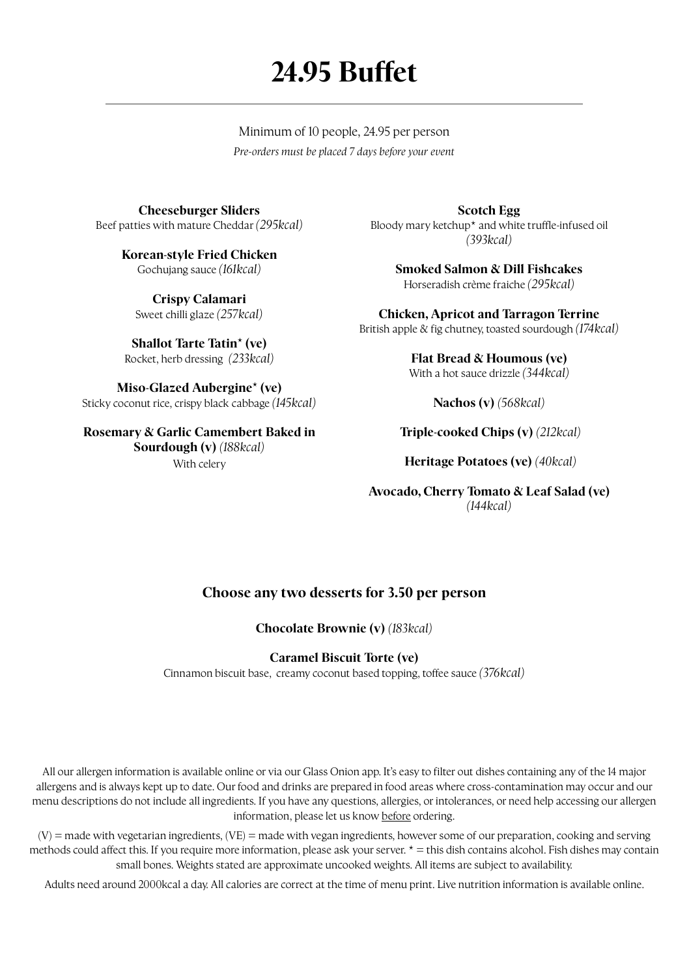# **24.95 Buffet**

Minimum of 10 people, 24.95 per person *Pre-orders must be placed 7 days before your event*

**Cheeseburger Sliders** Beef patties with mature Cheddar *(295kcal)*

> **Korean-style Fried Chicken** Gochujang sauce *(161kcal)*

**Crispy Calamari** Sweet chilli glaze *(257kcal)*

**Shallot Tarte Tatin\* (ve)** Rocket, herb dressing *(233kcal)*

**Miso-Glazed Aubergine\* (ve)**  Sticky coconut rice, crispy black cabbage *(145kcal)*

**Rosemary & Garlic Camembert Baked in Sourdough (v)** *(188kcal)* With celery

**Scotch Egg** Bloody mary ketchup\* and white truffle-infused oil *(393kcal)*

> **Smoked Salmon & Dill Fishcakes** Horseradish crème f raiche *(295kcal)*

**Chicken, Apricot and Tarragon Terrine** British apple & fig chutney, toasted sourdough *(174kcal)* 

> **Flat Bread & Houmous (ve)**  With a hot sauce drizzle *(344kcal)*

> > **Nachos (v)** *(568kcal)*

 **Triple-cooked Chips (v)** *(212kcal)*

 **Heritage Potatoes (ve)** *(40kcal)*

**Avocado, Cherry Tomato & Leaf Salad (ve)**  *(144kcal)*

### **Choose any two desserts for 3.50 per person**

**Chocolate Brownie (v)** *(183kcal)*

#### **Caramel Biscuit Torte (ve)**

Cinnamon biscuit base, creamy coconut based topping, toffee sauce *(376kcal)*

All our allergen information is available online or via our Glass Onion app. It's easy to filter out dishes containing any of the 14 major allergens and is always kept up to date. Our food and drinks are prepared in food areas where cross-contamination may occur and our menu descriptions do not include all ingredients. If you have any questions, allergies, or intolerances, or need help accessing our allergen information, please let us know before ordering.

(V) = made with vegetarian ingredients, (VE) = made with vegan ingredients, however some of our preparation, cooking and serving methods could affect this. If you require more information, please ask your server.  $* =$  this dish contains alcohol. Fish dishes may contain small bones. Weights stated are approximate uncooked weights. All items are subject to availability.

Adults need around 2000kcal a day. All calories are correct at the time of menu print. Live nutrition information is available online.